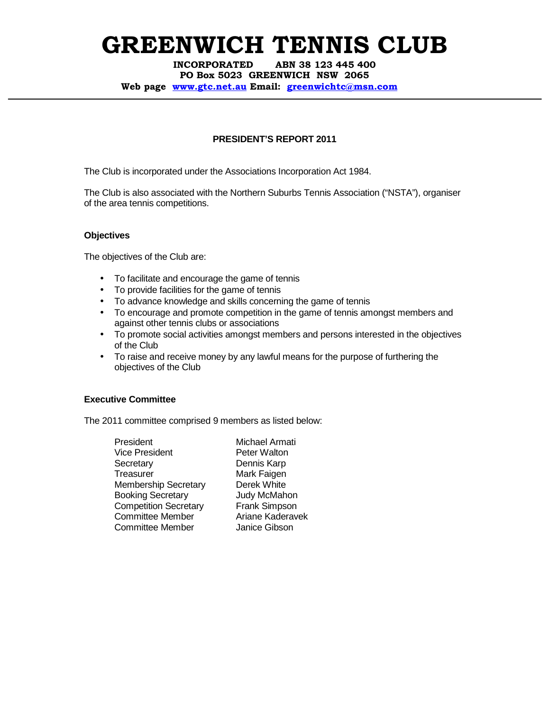INCORPORATED ABN 38 123 445 400 PO Box 5023 GREENWICH NSW 2065 Web page www.gtc.net.au Email: greenwichtc@msn.com

### **PRESIDENT'S REPORT 2011**

The Club is incorporated under the Associations Incorporation Act 1984.

The Club is also associated with the Northern Suburbs Tennis Association ("NSTA"), organiser of the area tennis competitions.

### **Objectives**

The objectives of the Club are:

- To facilitate and encourage the game of tennis
- To provide facilities for the game of tennis
- To advance knowledge and skills concerning the game of tennis
- To encourage and promote competition in the game of tennis amongst members and against other tennis clubs or associations
- To promote social activities amongst members and persons interested in the objectives of the Club
- To raise and receive money by any lawful means for the purpose of furthering the objectives of the Club

#### **Executive Committee**

The 2011 committee comprised 9 members as listed below:

| President                    |
|------------------------------|
| Vice President               |
| Secretary                    |
| Treasurer                    |
| <b>Membership Secretary</b>  |
| <b>Booking Secretary</b>     |
| <b>Competition Secretary</b> |
| Committee Member             |
| <b>Committee Member</b>      |

Michael Armati Peter Walton Dennis Karp Mark Faigen Derek White Judy McMahon Frank Simpson Ariane Kaderavek Janice Gibson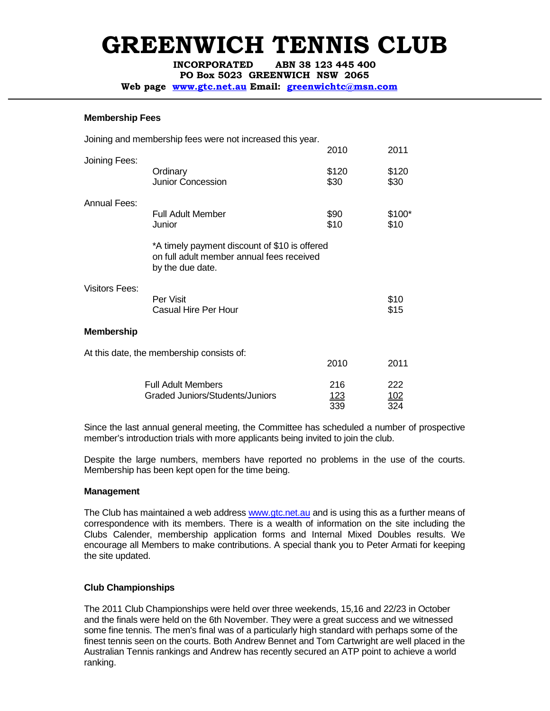INCORPORATED ABN 38 123 445 400

PO Box 5023 GREENWICH NSW 2065

Web page www.gtc.net.au Email: greenwichtc@msn.com

#### **Membership Fees**

|                       | Joining and membership fees were not increased this year.                                                      |                           |                   |
|-----------------------|----------------------------------------------------------------------------------------------------------------|---------------------------|-------------------|
|                       |                                                                                                                | 2010                      | 2011              |
| Joining Fees:         | Ordinary<br><b>Junior Concession</b>                                                                           | \$120<br>\$30             | \$120<br>\$30     |
| <b>Annual Fees:</b>   |                                                                                                                |                           |                   |
|                       | Full Adult Member<br>Junior                                                                                    | \$90<br>\$10              | \$100*<br>\$10    |
|                       | *A timely payment discount of \$10 is offered<br>on full adult member annual fees received<br>by the due date. |                           |                   |
| <b>Visitors Fees:</b> | Per Visit<br><b>Casual Hire Per Hour</b>                                                                       |                           | \$10<br>\$15      |
| <b>Membership</b>     |                                                                                                                |                           |                   |
|                       | At this date, the membership consists of:                                                                      |                           |                   |
|                       |                                                                                                                | 2010                      | 2011              |
|                       | <b>Full Adult Members</b><br><b>Graded Juniors/Students/Juniors</b>                                            | 216<br><u> 123</u><br>339 | 222<br>102<br>324 |

Since the last annual general meeting, the Committee has scheduled a number of prospective member's introduction trials with more applicants being invited to join the club.

Despite the large numbers, members have reported no problems in the use of the courts. Membership has been kept open for the time being.

## **Management**

The Club has maintained a web address www.gtc.net.au and is using this as a further means of correspondence with its members. There is a wealth of information on the site including the Clubs Calender, membership application forms and Internal Mixed Doubles results. We encourage all Members to make contributions. A special thank you to Peter Armati for keeping the site updated.

## **Club Championships**

The 2011 Club Championships were held over three weekends, 15,16 and 22/23 in October and the finals were held on the 6th November. They were a great success and we witnessed some fine tennis. The men's final was of a particularly high standard with perhaps some of the finest tennis seen on the courts. Both Andrew Bennet and Tom Cartwright are well placed in the Australian Tennis rankings and Andrew has recently secured an ATP point to achieve a world ranking.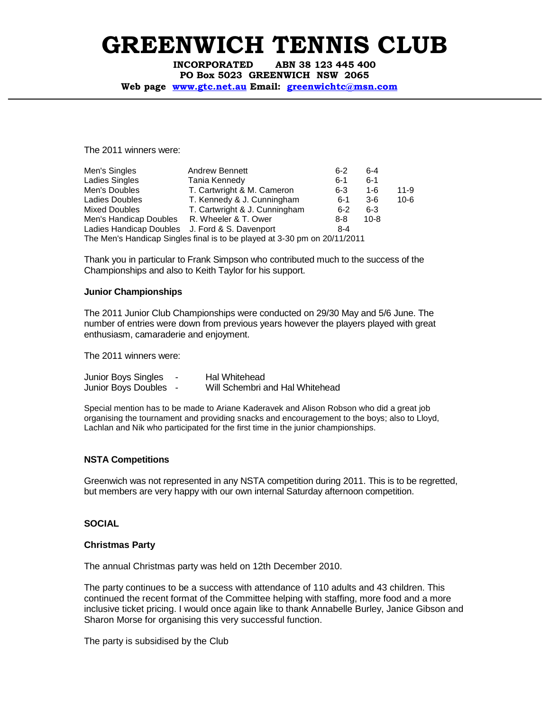INCORPORATED ABN 38 123 445 400 PO Box 5023 GREENWICH NSW 2065

Web page www.gtc.net.au Email: greenwichtc@msn.com

The 2011 winners were:

| Men's Singles                                  | <b>Andrew Bennett</b>                                                     | $6 - 2$ | $6 - 4$  |          |
|------------------------------------------------|---------------------------------------------------------------------------|---------|----------|----------|
| Ladies Singles                                 | Tania Kennedy                                                             | $6 - 1$ | $6 - 1$  |          |
| Men's Doubles                                  | T. Cartwright & M. Cameron                                                | $6 - 3$ | $1-6$    | $11 - 9$ |
| Ladies Doubles                                 | T. Kennedy & J. Cunningham                                                | $6 - 1$ | 3-6      | $10 - 6$ |
| Mixed Doubles                                  | T. Cartwright & J. Cunningham                                             | $6 - 2$ | $6 - 3$  |          |
| Men's Handicap Doubles R. Wheeler & T. Ower    |                                                                           | $8 - 8$ | $10 - 8$ |          |
| Ladies Handicap Doubles J. Ford & S. Davenport |                                                                           | $8 - 4$ |          |          |
|                                                | The Men's Handicap Singles final is to be played at 3-30 pm on 20/11/2011 |         |          |          |

Thank you in particular to Frank Simpson who contributed much to the success of the Championships and also to Keith Taylor for his support.

#### **Junior Championships**

The 2011 Junior Club Championships were conducted on 29/30 May and 5/6 June. The number of entries were down from previous years however the players played with great enthusiasm, camaraderie and enjoyment.

The 2011 winners were:

| Junior Boys Singles   | Hal Whitehead                   |
|-----------------------|---------------------------------|
| Junior Boys Doubles - | Will Schembri and Hal Whitehead |

Special mention has to be made to Ariane Kaderavek and Alison Robson who did a great job organising the tournament and providing snacks and encouragement to the boys; also to Lloyd, Lachlan and Nik who participated for the first time in the junior championships.

#### **NSTA Competitions**

Greenwich was not represented in any NSTA competition during 2011. This is to be regretted, but members are very happy with our own internal Saturday afternoon competition.

#### **SOCIAL**

#### **Christmas Party**

The annual Christmas party was held on 12th December 2010.

The party continues to be a success with attendance of 110 adults and 43 children. This continued the recent format of the Committee helping with staffing, more food and a more inclusive ticket pricing. I would once again like to thank Annabelle Burley, Janice Gibson and Sharon Morse for organising this very successful function.

The party is subsidised by the Club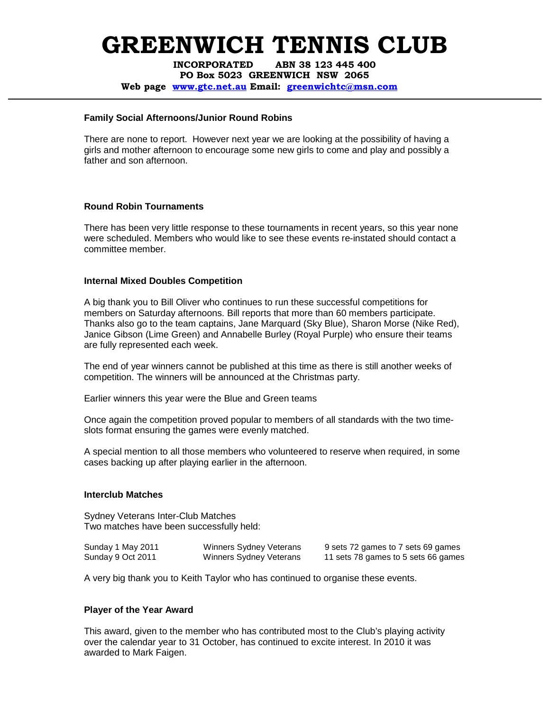INCORPORATED ABN 38 123 445 400 PO Box 5023 GREENWICH NSW 2065 Web page www.gtc.net.au Email: greenwichtc@msn.com

#### **Family Social Afternoons/Junior Round Robins**

There are none to report. However next year we are looking at the possibility of having a girls and mother afternoon to encourage some new girls to come and play and possibly a father and son afternoon.

## **Round Robin Tournaments**

There has been very little response to these tournaments in recent years, so this year none were scheduled. Members who would like to see these events re-instated should contact a committee member.

### **Internal Mixed Doubles Competition**

A big thank you to Bill Oliver who continues to run these successful competitions for members on Saturday afternoons. Bill reports that more than 60 members participate. Thanks also go to the team captains, Jane Marquard (Sky Blue), Sharon Morse (Nike Red), Janice Gibson (Lime Green) and Annabelle Burley (Royal Purple) who ensure their teams are fully represented each week.

The end of year winners cannot be published at this time as there is still another weeks of competition. The winners will be announced at the Christmas party.

Earlier winners this year were the Blue and Green teams

Once again the competition proved popular to members of all standards with the two timeslots format ensuring the games were evenly matched.

A special mention to all those members who volunteered to reserve when required, in some cases backing up after playing earlier in the afternoon.

#### **Interclub Matches**

Sydney Veterans Inter-Club Matches Two matches have been successfully held:

| Sunday 1 May 2011 | <b>Winners Sydney Veterans</b> | 9 sets 72 games to 7 sets 69 games  |
|-------------------|--------------------------------|-------------------------------------|
| Sunday 9 Oct 2011 | Winners Sydney Veterans        | 11 sets 78 games to 5 sets 66 games |

A very big thank you to Keith Taylor who has continued to organise these events.

## **Player of the Year Award**

This award, given to the member who has contributed most to the Club's playing activity over the calendar year to 31 October, has continued to excite interest. In 2010 it was awarded to Mark Faigen.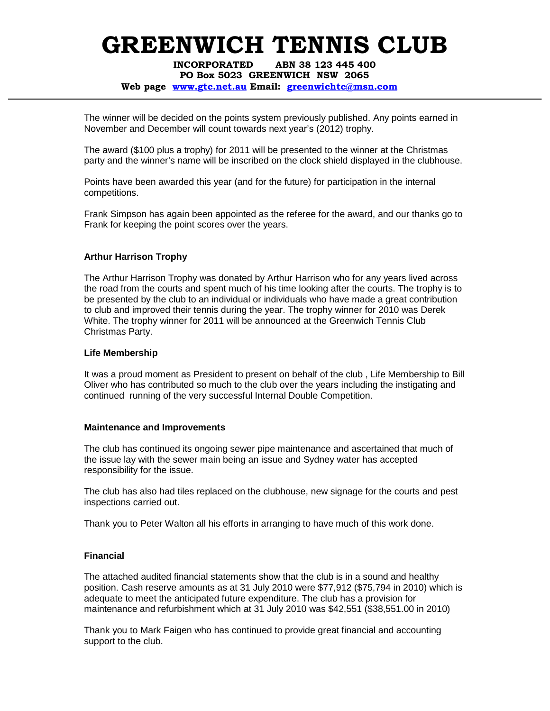INCORPORATED ABN 38 123 445 400 PO Box 5023 GREENWICH NSW 2065

#### Web page www.gtc.net.au Email: greenwichtc@msn.com

The winner will be decided on the points system previously published. Any points earned in November and December will count towards next year's (2012) trophy.

The award (\$100 plus a trophy) for 2011 will be presented to the winner at the Christmas party and the winner's name will be inscribed on the clock shield displayed in the clubhouse.

Points have been awarded this year (and for the future) for participation in the internal competitions.

Frank Simpson has again been appointed as the referee for the award, and our thanks go to Frank for keeping the point scores over the years.

#### **Arthur Harrison Trophy**

The Arthur Harrison Trophy was donated by Arthur Harrison who for any years lived across the road from the courts and spent much of his time looking after the courts. The trophy is to be presented by the club to an individual or individuals who have made a great contribution to club and improved their tennis during the year. The trophy winner for 2010 was Derek White. The trophy winner for 2011 will be announced at the Greenwich Tennis Club Christmas Party.

#### **Life Membership**

It was a proud moment as President to present on behalf of the club , Life Membership to Bill Oliver who has contributed so much to the club over the years including the instigating and continued running of the very successful Internal Double Competition.

#### **Maintenance and Improvements**

The club has continued its ongoing sewer pipe maintenance and ascertained that much of the issue lay with the sewer main being an issue and Sydney water has accepted responsibility for the issue.

The club has also had tiles replaced on the clubhouse, new signage for the courts and pest inspections carried out.

Thank you to Peter Walton all his efforts in arranging to have much of this work done.

#### **Financial**

The attached audited financial statements show that the club is in a sound and healthy position. Cash reserve amounts as at 31 July 2010 were \$77,912 (\$75,794 in 2010) which is adequate to meet the anticipated future expenditure. The club has a provision for maintenance and refurbishment which at 31 July 2010 was \$42,551 (\$38,551.00 in 2010)

Thank you to Mark Faigen who has continued to provide great financial and accounting support to the club.